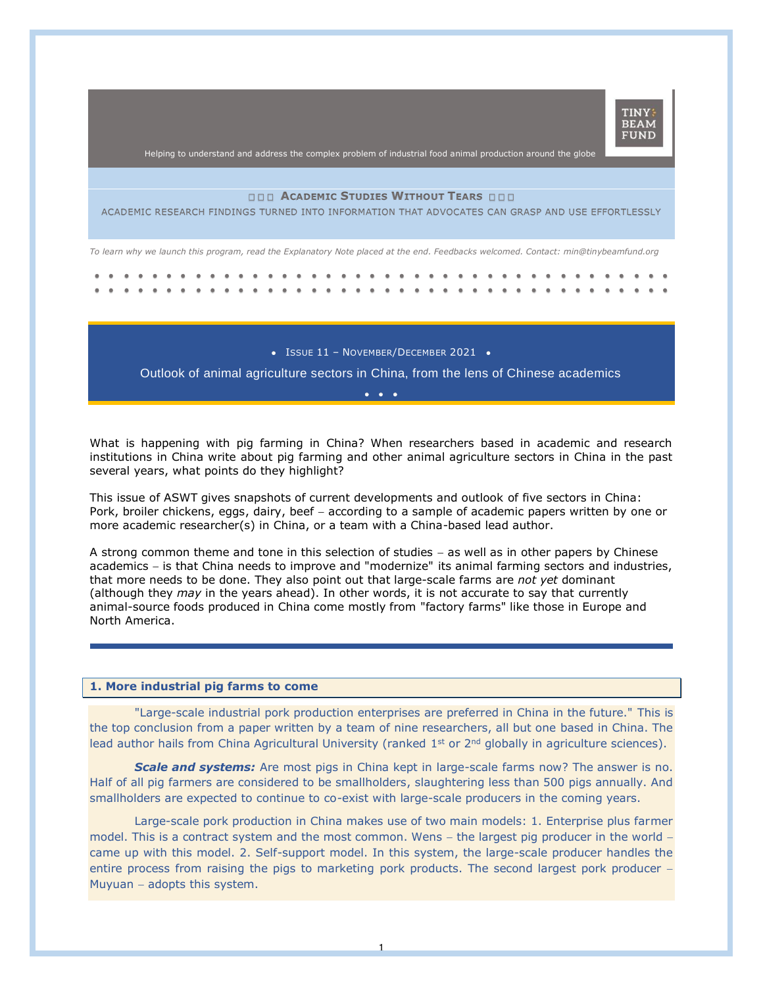

Helping to understand and address the complex problem of industrial food animal production around the globe

## **ACADEMIC STUDIES WITHOUT TEARS**

ACADEMIC RESEARCH FINDINGS TURNED INTO INFORMATION THAT ADVOCATES CAN GRASP AND USE EFFORTLESSLY

*To learn why we launch this program, read the Explanatory Note placed at the end. Feedbacks welcomed. Contact: min@tinybeamfund.org* 

• ISSUE 11 - NOVEMBER/DECEMBER 2021 •

Outlook of animal agriculture sectors in China, from the lens of Chinese academics •••

What is happening with pig farming in China? When researchers based in academic and research institutions in China write about pig farming and other animal agriculture sectors in China in the past several years, what points do they highlight?

This issue of ASWT gives snapshots of current developments and outlook of five sectors in China: Pork, broiler chickens, eggs, dairy, beef – according to a sample of academic papers written by one or more academic researcher(s) in China, or a team with a China-based lead author.

A strong common theme and tone in this selection of studies − as well as in other papers by Chinese academics − is that China needs to improve and "modernize" its animal farming sectors and industries, that more needs to be done. They also point out that large-scale farms are *not yet* dominant (although they *may* in the years ahead). In other words, it is not accurate to say that currently animal-source foods produced in China come mostly from "factory farms" like those in Europe and North America.

### **1. More industrial pig farms to come**

"Large-scale industrial pork production enterprises are preferred in China in the future." This is the top conclusion from a paper written by a team of nine researchers, all but one based in China. The lead author hails from China Agricultural University (ranked 1<sup>st</sup> or 2<sup>nd</sup> globally in agriculture sciences).

**Scale and systems:** Are most pigs in China kept in large-scale farms now? The answer is no. Half of all pig farmers are considered to be smallholders, slaughtering less than 500 pigs annually. And smallholders are expected to continue to co-exist with large-scale producers in the coming years.

Large-scale pork production in China makes use of two main models: 1. Enterprise plus farmer model. This is a contract system and the most common. Wens − the largest pig producer in the world − came up with this model. 2. Self-support model. In this system, the large-scale producer handles the entire process from raising the pigs to marketing pork products. The second largest pork producer − Muyuan − adopts this system.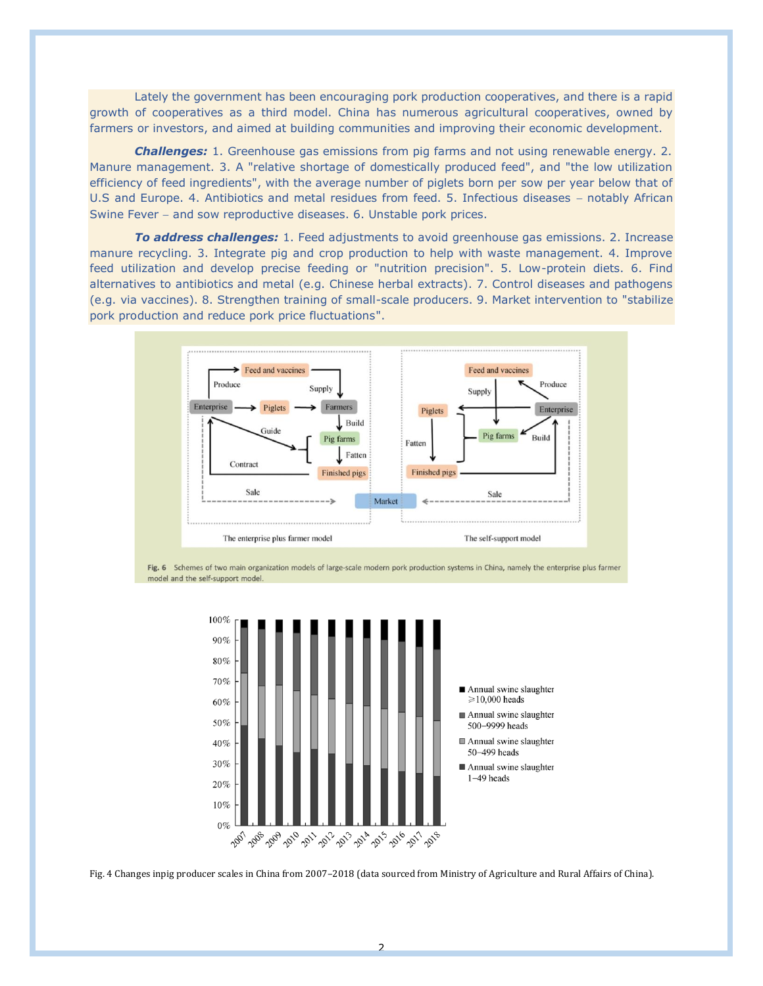Lately the government has been encouraging pork production cooperatives, and there is a rapid growth of cooperatives as a third model. China has numerous agricultural cooperatives, owned by farmers or investors, and aimed at building communities and improving their economic development.

*Challenges:* 1. Greenhouse gas emissions from pig farms and not using renewable energy. 2. Manure management. 3. A "relative shortage of domestically produced feed", and "the low utilization efficiency of feed ingredients", with the average number of piglets born per sow per year below that of U.S and Europe. 4. Antibiotics and metal residues from feed. 5. Infectious diseases – notably African Swine Fever − and sow reproductive diseases. 6. Unstable pork prices.

*To address challenges:* 1. Feed adjustments to avoid greenhouse gas emissions. 2. Increase manure recycling. 3. Integrate pig and crop production to help with waste management. 4. Improve feed utilization and develop precise feeding or "nutrition precision". 5. Low-protein diets. 6. Find alternatives to antibiotics and metal (e.g. Chinese herbal extracts). 7. Control diseases and pathogens (e.g. via vaccines). 8. Strengthen training of small-scale producers. 9. Market intervention to "stabilize pork production and reduce pork price fluctuations".



Fig. 6 Schemes of two main organization models of large-scale modern pork production systems in China, namely the enterprise plus farmer model and the self-support model.



Fig. 4 Changes inpig producer scales in China from 2007–2018 (data sourced from Ministry of Agriculture and Rural Affairs of China).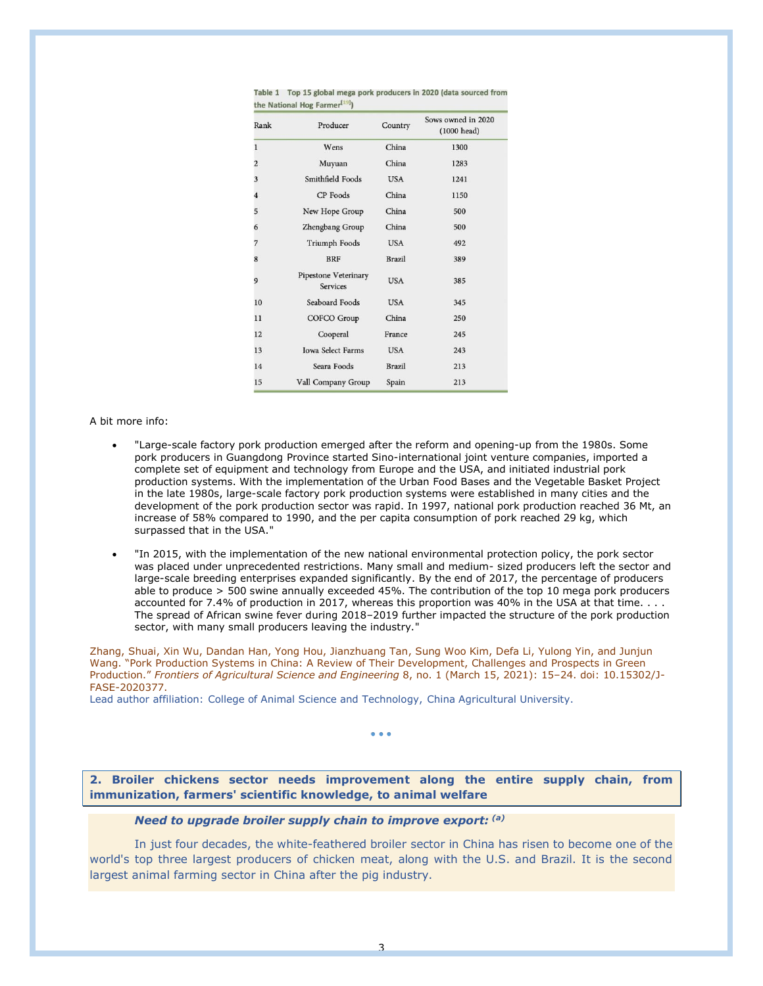| Rank                    | Producer                                       | Country       | Sows owned in 2020<br>(1000 head) |
|-------------------------|------------------------------------------------|---------------|-----------------------------------|
| $\mathbf{1}$            | Wens                                           | China         | 1300                              |
| $\overline{c}$          | Muyuan                                         | China         | 1283                              |
| $\overline{\mathbf{3}}$ | Smithfield Foods                               | <b>USA</b>    | 1241                              |
| $\overline{\bf 4}$      | <b>CP</b> Foods                                | China         | 1150                              |
| 5                       | New Hope Group                                 | China         | 500                               |
| 6                       | Zhengbang Group                                | China         | 500                               |
| $\overline{7}$          | <b>Triumph Foods</b>                           | <b>USA</b>    | 492                               |
| 8                       | <b>BRF</b>                                     | <b>Brazil</b> | 389                               |
| 9                       | <b>Pipestone Veterinary</b><br><b>Services</b> | <b>USA</b>    | 385                               |
| 10                      | Seaboard Foods                                 | <b>USA</b>    | 345                               |
| 11                      | <b>COFCO Group</b>                             | China         | 250                               |
| 12                      | Cooperal                                       | France        | 245                               |
| 13                      | <b>Iowa Select Farms</b>                       | <b>USA</b>    | 243                               |
| 14                      | Seara Foods                                    | <b>Brazil</b> | 213                               |
| 15                      | Vall Company Group                             | Spain         | 213                               |

Table 1 Top 15 global mega pork producers in 2020 (data sourced from the National Hog Farmer<sup>[19]</sup>)

A bit more info:

- "Large-scale factory pork production emerged after the reform and opening-up from the 1980s. Some pork producers in Guangdong Province started Sino-international joint venture companies, imported a complete set of equipment and technology from Europe and the USA, and initiated industrial pork production systems. With the implementation of the Urban Food Bases and the Vegetable Basket Project in the late 1980s, large-scale factory pork production systems were established in many cities and the development of the pork production sector was rapid. In 1997, national pork production reached 36 Mt, an increase of 58% compared to 1990, and the per capita consumption of pork reached 29 kg, which surpassed that in the USA."
- "In 2015, with the implementation of the new national environmental protection policy, the pork sector was placed under unprecedented restrictions. Many small and medium- sized producers left the sector and large-scale breeding enterprises expanded significantly. By the end of 2017, the percentage of producers able to produce > 500 swine annually exceeded 45%. The contribution of the top 10 mega pork producers accounted for 7.4% of production in 2017, whereas this proportion was 40% in the USA at that time. . . . The spread of African swine fever during 2018–2019 further impacted the structure of the pork production sector, with many small producers leaving the industry."

Zhang, Shuai, Xin Wu, Dandan Han, Yong Hou, Jianzhuang Tan, Sung Woo Kim, Defa Li, Yulong Yin, and Junjun Wang. "Pork Production Systems in China: A Review of Their Development, Challenges and Prospects in Green Production." *Frontiers of Agricultural Science and Engineering* 8, no. 1 (March 15, 2021): 15–24. doi: 10.15302/J-FASE-2020377.

Lead author affiliation: College of Animal Science and Technology, China Agricultural University.

• • •

**2. Broiler chickens sector needs improvement along the entire supply chain, from immunization, farmers' scientific knowledge, to animal welfare**

# *Need to upgrade broiler supply chain to improve export: (a)*

In just four decades, the white-feathered broiler sector in China has risen to become one of the world's top three largest producers of chicken meat, along with the U.S. and Brazil. It is the second largest animal farming sector in China after the pig industry.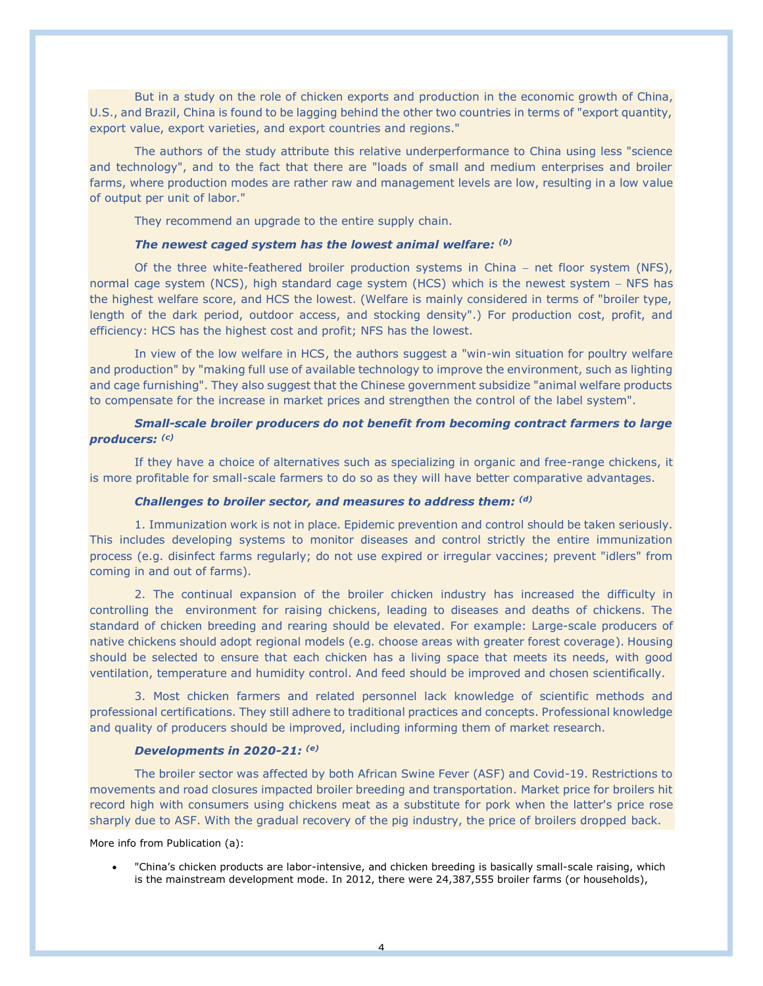But in a study on the role of chicken exports and production in the economic growth of China, U.S., and Brazil, China is found to be lagging behind the other two countries in terms of "export quantity, export value, export varieties, and export countries and regions."

The authors of the study attribute this relative underperformance to China using less "science and technology", and to the fact that there are "loads of small and medium enterprises and broiler farms, where production modes are rather raw and management levels are low, resulting in a low value of output per unit of labor."

They recommend an upgrade to the entire supply chain.

## *The newest caged system has the lowest animal welfare: (b)*

Of the three white-feathered broiler production systems in China − net floor system (NFS), normal cage system (NCS), high standard cage system (HCS) which is the newest system − NFS has the highest welfare score, and HCS the lowest. (Welfare is mainly considered in terms of "broiler type, length of the dark period, outdoor access, and stocking density".) For production cost, profit, and efficiency: HCS has the highest cost and profit; NFS has the lowest.

In view of the low welfare in HCS, the authors suggest a "win-win situation for poultry welfare and production" by "making full use of available technology to improve the environment, such as lighting and cage furnishing". They also suggest that the Chinese government subsidize "animal welfare products to compensate for the increase in market prices and strengthen the control of the label system".

# *Small-scale broiler producers do not benefit from becoming contract farmers to large producers: (c)*

If they have a choice of alternatives such as specializing in organic and free-range chickens, it is more profitable for small-scale farmers to do so as they will have better comparative advantages.

### *Challenges to broiler sector, and measures to address them: (d)*

1. Immunization work is not in place. Epidemic prevention and control should be taken seriously. This includes developing systems to monitor diseases and control strictly the entire immunization process (e.g. disinfect farms regularly; do not use expired or irregular vaccines; prevent "idlers" from coming in and out of farms).

2. The continual expansion of the broiler chicken industry has increased the difficulty in controlling the environment for raising chickens, leading to diseases and deaths of chickens. The standard of chicken breeding and rearing should be elevated. For example: Large-scale producers of native chickens should adopt regional models (e.g. choose areas with greater forest coverage). Housing should be selected to ensure that each chicken has a living space that meets its needs, with good ventilation, temperature and humidity control. And feed should be improved and chosen scientifically.

3. Most chicken farmers and related personnel lack knowledge of scientific methods and professional certifications. They still adhere to traditional practices and concepts. Professional knowledge and quality of producers should be improved, including informing them of market research.

## *Developments in 2020-21: (e)*

The broiler sector was affected by both African Swine Fever (ASF) and Covid-19. Restrictions to movements and road closures impacted broiler breeding and transportation. Market price for broilers hit record high with consumers using chickens meat as a substitute for pork when the latter's price rose sharply due to ASF. With the gradual recovery of the pig industry, the price of broilers dropped back.

More info from Publication (a):

• "China's chicken products are labor-intensive, and chicken breeding is basically small-scale raising, which is the mainstream development mode. In 2012, there were 24,387,555 broiler farms (or households),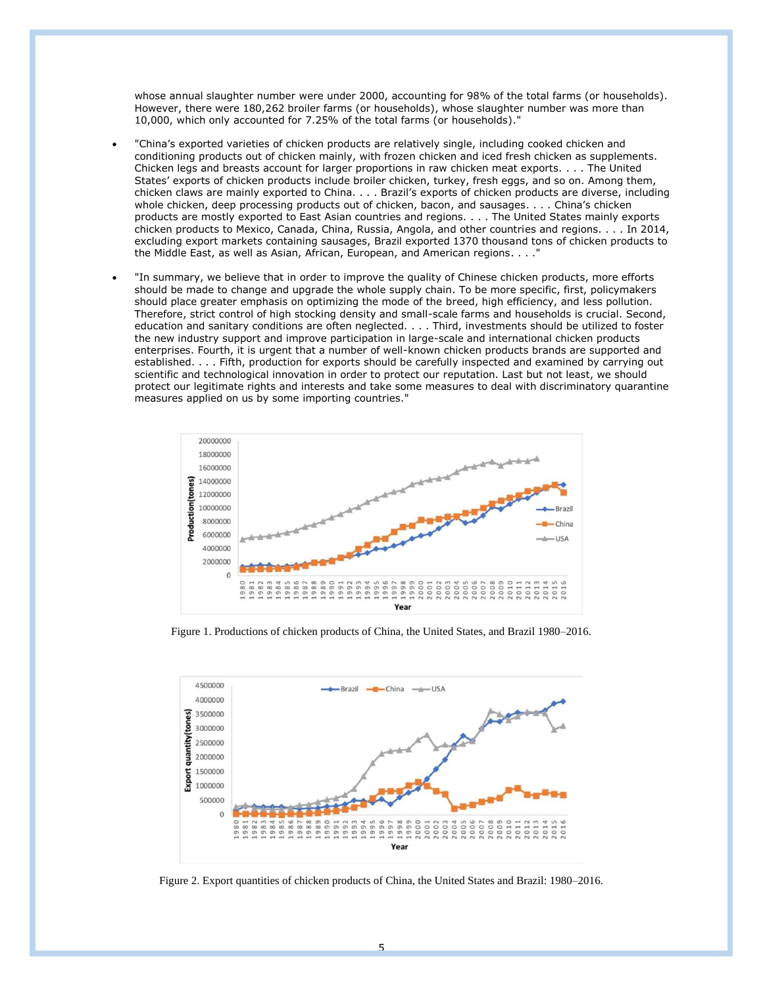whose annual slaughter number were under 2000, accounting for 98% of the total farms (or households). However, there were 180,262 broiler farms (or households), whose slaughter number was more than 10,000, which only accounted for 7.25% of the total farms (or households)."

- "China's exported varieties of chicken products are relatively single, including cooked chicken and conditioning products out of chicken mainly, with frozen chicken and iced fresh chicken as supplements. Chicken legs and breasts account for larger proportions in raw chicken meat exports. . . . The United States' exports of chicken products include broiler chicken, turkey, fresh eggs, and so on. Among them, chicken claws are mainly exported to China. . . . Brazil's exports of chicken products are diverse, including whole chicken, deep processing products out of chicken, bacon, and sausages. . . . China's chicken products are mostly exported to East Asian countries and regions. . . . The United States mainly exports chicken products to Mexico, Canada, China, Russia, Angola, and other countries and regions. . . . In 2014, excluding export markets containing sausages, Brazil exported 1370 thousand tons of chicken products to the Middle East, as well as Asian, African, European, and American regions. . . ."
- "In summary, we believe that in order to improve the quality of Chinese chicken products, more efforts should be made to change and upgrade the whole supply chain. To be more specific, first, policymakers should place greater emphasis on optimizing the mode of the breed, high efficiency, and less pollution. Therefore, strict control of high stocking density and small-scale farms and households is crucial. Second, education and sanitary conditions are often neglected. . . . Third, investments should be utilized to foster the new industry support and improve participation in large-scale and international chicken products enterprises. Fourth, it is urgent that a number of well-known chicken products brands are supported and established. . . . Fifth, production for exports should be carefully inspected and examined by carrying out scientific and technological innovation in order to protect our reputation. Last but not least, we should protect our legitimate rights and interests and take some measures to deal with discriminatory quarantine measures applied on us by some importing countries."



Figure 1. Productions of chicken products of China, the United States, and Brazil 1980–2016.



Figure 2. Export quantities of chicken products of China, the United States and Brazil: 1980–2016.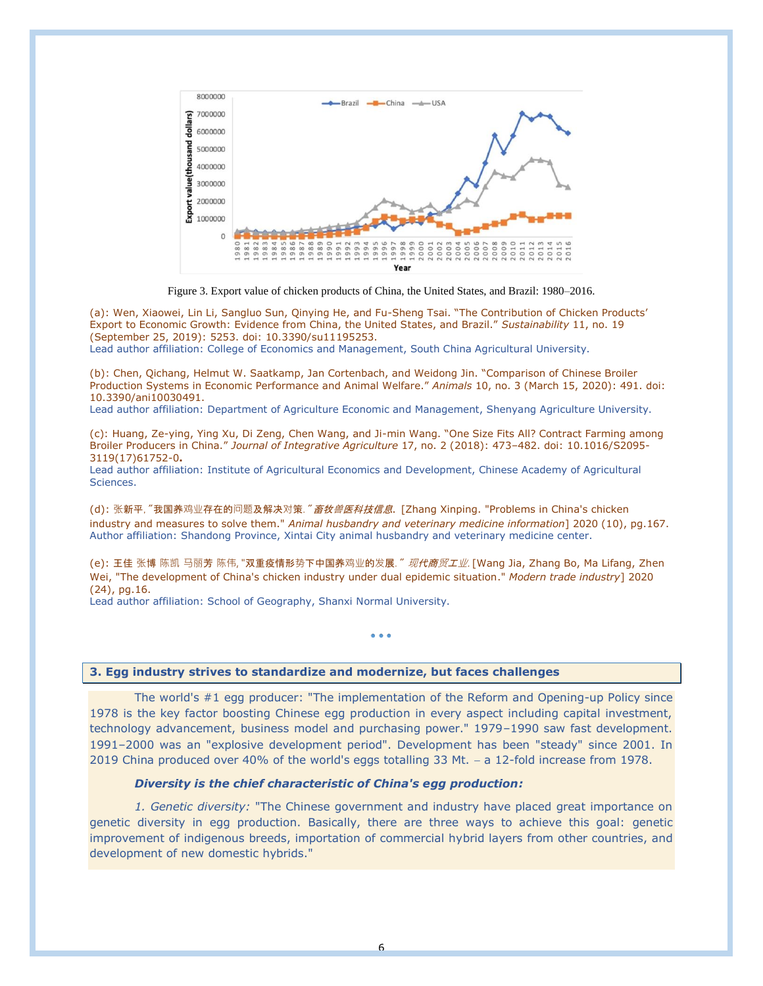

Figure 3. Export value of chicken products of China, the United States, and Brazil: 1980–2016.

(a): Wen, Xiaowei, Lin Li, Sangluo Sun, Qinying He, and Fu-Sheng Tsai. "The Contribution of Chicken Products' Export to Economic Growth: Evidence from China, the United States, and Brazil." *Sustainability* 11, no. 19 (September 25, 2019): 5253. doi: 10.3390/su11195253.

Lead author affiliation: College of Economics and Management, South China Agricultural University.

(b): Chen, Qichang, Helmut W. Saatkamp, Jan Cortenbach, and Weidong Jin. "Comparison of Chinese Broiler Production Systems in Economic Performance and Animal Welfare." *Animals* 10, no. 3 (March 15, 2020): 491. doi: 10.3390/ani10030491.

Lead author affiliation: Department of Agriculture Economic and Management, Shenyang Agriculture University.

(c): Huang, Ze-ying, Ying Xu, Di Zeng, Chen Wang, and Ji-min Wang. "One Size Fits All? Contract Farming among Broiler Producers in China." *Journal of Integrative Agriculture* 17, no. 2 (2018): 473–482. doi: 10.1016/S2095- 3119(17)61752-0**.**

Lead author affiliation: Institute of Agricultural Economics and Development, Chinese Academy of Agricultural Sciences.

(d): 张新平, "我国养鸡业存在的问题及解决对策. "*畜牧兽医科技信息*. [Zhang Xinping. "Problems in China's chicken industry and measures to solve them." *Animal husbandry and veterinary medicine information*] 2020 (10), pg.167. Author affiliation: Shandong Province, Xintai City animal husbandry and veterinary medicine center.

(e): 王佳 张博 陈凯 马丽芳 陈伟, "双重疫情形势下中国养鸡业的发展. " *现代商贸工业*. [Wang Jia, Zhang Bo, Ma Lifang, Zhen Wei, "The development of China's chicken industry under dual epidemic situation." *Modern trade industry*] 2020 (24), pg.16.

• • •

Lead author affiliation: School of Geography, Shanxi Normal University.

**3. Egg industry strives to standardize and modernize, but faces challenges** 

The world's #1 egg producer: "The implementation of the Reform and Opening-up Policy since 1978 is the key factor boosting Chinese egg production in every aspect including capital investment, technology advancement, business model and purchasing power." 1979–1990 saw fast development. 1991–2000 was an "explosive development period". Development has been "steady" since 2001. In 2019 China produced over 40% of the world's eggs totalling 33 Mt. − a 12-fold increase from 1978.

## *Diversity is the chief characteristic of China's egg production:*

*1. Genetic diversity:* "The Chinese government and industry have placed great importance on genetic diversity in egg production. Basically, there are three ways to achieve this goal: genetic improvement of indigenous breeds, importation of commercial hybrid layers from other countries, and development of new domestic hybrids."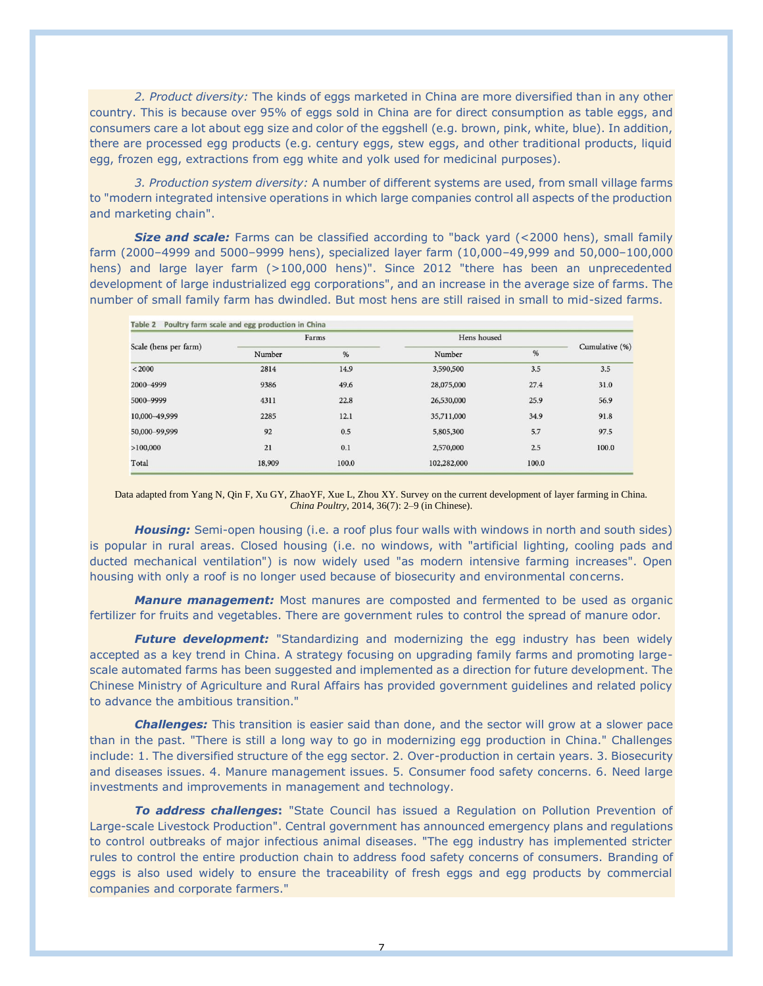*2. Product diversity:* The kinds of eggs marketed in China are more diversified than in any other country. This is because over 95% of eggs sold in China are for direct consumption as table eggs, and consumers care a lot about egg size and color of the eggshell (e.g. brown, pink, white, blue). In addition, there are processed egg products (e.g. century eggs, stew eggs, and other traditional products, liquid egg, frozen egg, extractions from egg white and yolk used for medicinal purposes).

*3. Production system diversity:* A number of different systems are used, from small village farms to "modern integrated intensive operations in which large companies control all aspects of the production and marketing chain".

**Size and scale:** Farms can be classified according to "back yard (<2000 hens), small family farm (2000–4999 and 5000–9999 hens), specialized layer farm (10,000–49,999 and 50,000–100,000 hens) and large layer farm (>100,000 hens)". Since 2012 "there has been an unprecedented development of large industrialized egg corporations", and an increase in the average size of farms. The number of small family farm has dwindled. But most hens are still raised in small to mid-sized farms.

| Poultry farm scale and egg production in China<br>Table 2 |        |       |             |       |                |  |  |  |  |  |
|-----------------------------------------------------------|--------|-------|-------------|-------|----------------|--|--|--|--|--|
|                                                           |        | Farms | Hens housed |       |                |  |  |  |  |  |
| Scale (hens per farm)                                     | Number | %     | Number      | %     | Cumulative (%) |  |  |  |  |  |
| < 2000                                                    | 2814   | 14.9  | 3,590,500   | 3.5   | 3.5            |  |  |  |  |  |
| 2000-4999                                                 | 9386   | 49.6  | 28,075,000  | 27.4  | 31.0           |  |  |  |  |  |
| 5000-9999                                                 | 4311   | 22.8  | 26,530,000  | 25.9  | 56.9           |  |  |  |  |  |
| 10,000 - 49,999                                           | 2285   | 12.1  | 35,711,000  | 34.9  | 91.8           |  |  |  |  |  |
| 50,000-99,999                                             | 92     | 0.5   | 5,805,300   | 5.7   | 97.5           |  |  |  |  |  |
| >100,000                                                  | 21     | 0.1   | 2,570,000   | 2.5   | 100.0          |  |  |  |  |  |
| Total                                                     | 18,909 | 100.0 | 102,282,000 | 100.0 |                |  |  |  |  |  |

Data adapted from Yang N, Qin F, Xu GY, ZhaoYF, Xue L, Zhou XY. Survey on the current development of layer farming in China. *China Poultry*, 2014, 36(7): 2–9 (in Chinese).

**Housing:** Semi-open housing (i.e. a roof plus four walls with windows in north and south sides) is popular in rural areas. Closed housing (i.e. no windows, with "artificial lighting, cooling pads and ducted mechanical ventilation") is now widely used "as modern intensive farming increases". Open housing with only a roof is no longer used because of biosecurity and environmental concerns.

*Manure management:* Most manures are composted and fermented to be used as organic fertilizer for fruits and vegetables. There are government rules to control the spread of manure odor.

**Future development:** "Standardizing and modernizing the egg industry has been widely accepted as a key trend in China. A strategy focusing on upgrading family farms and promoting largescale automated farms has been suggested and implemented as a direction for future development. The Chinese Ministry of Agriculture and Rural Affairs has provided government guidelines and related policy to advance the ambitious transition."

*Challenges:* This transition is easier said than done, and the sector will grow at a slower pace than in the past. "There is still a long way to go in modernizing egg production in China." Challenges include: 1. The diversified structure of the egg sector. 2. Over-production in certain years. 3. Biosecurity and diseases issues. 4. Manure management issues. 5. Consumer food safety concerns. 6. Need large investments and improvements in management and technology.

*To address challenges***:** "State Council has issued a Regulation on Pollution Prevention of Large-scale Livestock Production". Central government has announced emergency plans and regulations to control outbreaks of major infectious animal diseases. "The egg industry has implemented stricter rules to control the entire production chain to address food safety concerns of consumers. Branding of eggs is also used widely to ensure the traceability of fresh eggs and egg products by commercial companies and corporate farmers."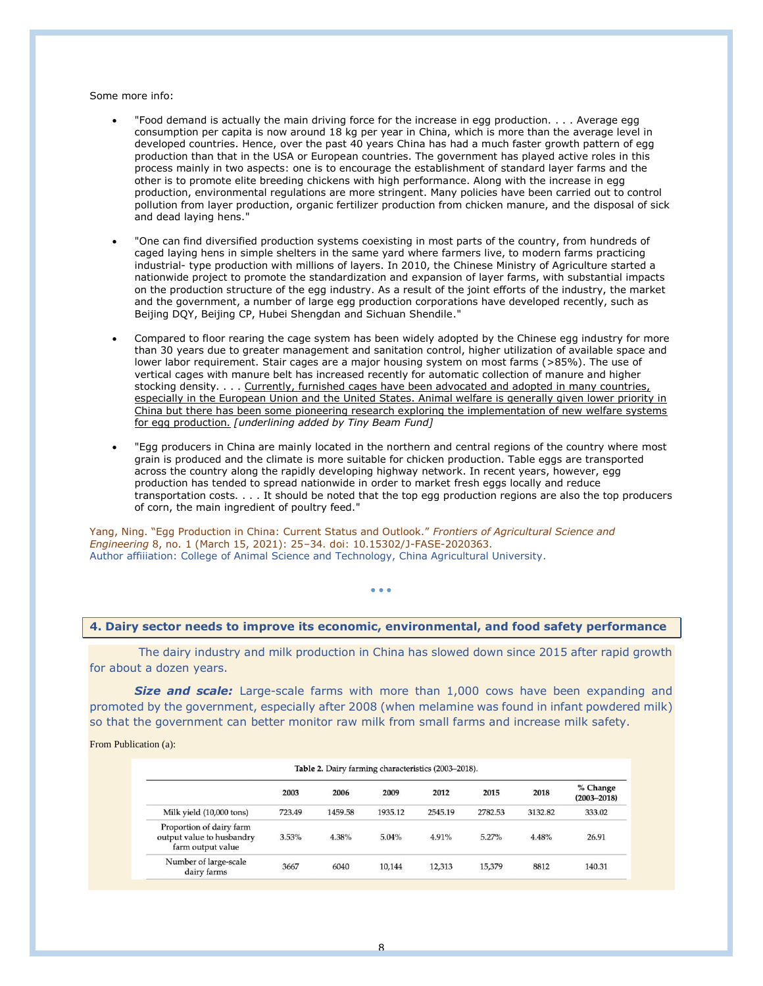Some more info:

- "Food demand is actually the main driving force for the increase in egg production. . . . Average egg consumption per capita is now around 18 kg per year in China, which is more than the average level in developed countries. Hence, over the past 40 years China has had a much faster growth pattern of egg production than that in the USA or European countries. The government has played active roles in this process mainly in two aspects: one is to encourage the establishment of standard layer farms and the other is to promote elite breeding chickens with high performance. Along with the increase in egg production, environmental regulations are more stringent. Many policies have been carried out to control pollution from layer production, organic fertilizer production from chicken manure, and the disposal of sick and dead laying hens."
- "One can find diversified production systems coexisting in most parts of the country, from hundreds of caged laying hens in simple shelters in the same yard where farmers live, to modern farms practicing industrial- type production with millions of layers. In 2010, the Chinese Ministry of Agriculture started a nationwide project to promote the standardization and expansion of layer farms, with substantial impacts on the production structure of the egg industry. As a result of the joint efforts of the industry, the market and the government, a number of large egg production corporations have developed recently, such as Beijing DQY, Beijing CP, Hubei Shengdan and Sichuan Shendile."
- Compared to floor rearing the cage system has been widely adopted by the Chinese egg industry for more than 30 years due to greater management and sanitation control, higher utilization of available space and lower labor requirement. Stair cages are a major housing system on most farms (>85%). The use of vertical cages with manure belt has increased recently for automatic collection of manure and higher stocking density. . . . Currently, furnished cages have been advocated and adopted in many countries, especially in the European Union and the United States. Animal welfare is generally given lower priority in China but there has been some pioneering research exploring the implementation of new welfare systems for egg production. *[underlining added by Tiny Beam Fund]*
- "Egg producers in China are mainly located in the northern and central regions of the country where most grain is produced and the climate is more suitable for chicken production. Table eggs are transported across the country along the rapidly developing highway network. In recent years, however, egg production has tended to spread nationwide in order to market fresh eggs locally and reduce transportation costs. . . . It should be noted that the top egg production regions are also the top producers of corn, the main ingredient of poultry feed."

Yang, Ning. "Egg Production in China: Current Status and Outlook." *Frontiers of Agricultural Science and Engineering* 8, no. 1 (March 15, 2021): 25–34. doi: 10.15302/J-FASE-2020363. Author affiiiation: College of Animal Science and Technology, China Agricultural University.

#### **4. Dairy sector needs to improve its economic, environmental, and food safety performance**

• • •

The dairy industry and milk production in China has slowed down since 2015 after rapid growth for about a dozen years.

**Size and scale:** Large-scale farms with more than 1,000 cows have been expanding and promoted by the government, especially after 2008 (when melamine was found in infant powdered milk) so that the government can better monitor raw milk from small farms and increase milk safety.

From Publication (a):

|                                                                            | 2003   | 2006    | 2009    | 2012    | 2015    | 2018    | % Change<br>$(2003 - 2018)$ |
|----------------------------------------------------------------------------|--------|---------|---------|---------|---------|---------|-----------------------------|
| Milk yield (10,000 tons)                                                   | 723.49 | 1459.58 | 1935.12 | 2545.19 | 2782.53 | 3132.82 | 333.02                      |
| Proportion of dairy farm<br>output value to husbandry<br>farm output value | 3.53%  | 4.38%   | 5.04%   | 4.91%   | 5.27%   | 4.48%   | 26.91                       |
| Number of large-scale<br>dairy farms                                       | 3667   | 6040    | 10.144  | 12,313  | 15,379  | 8812    | 140.31                      |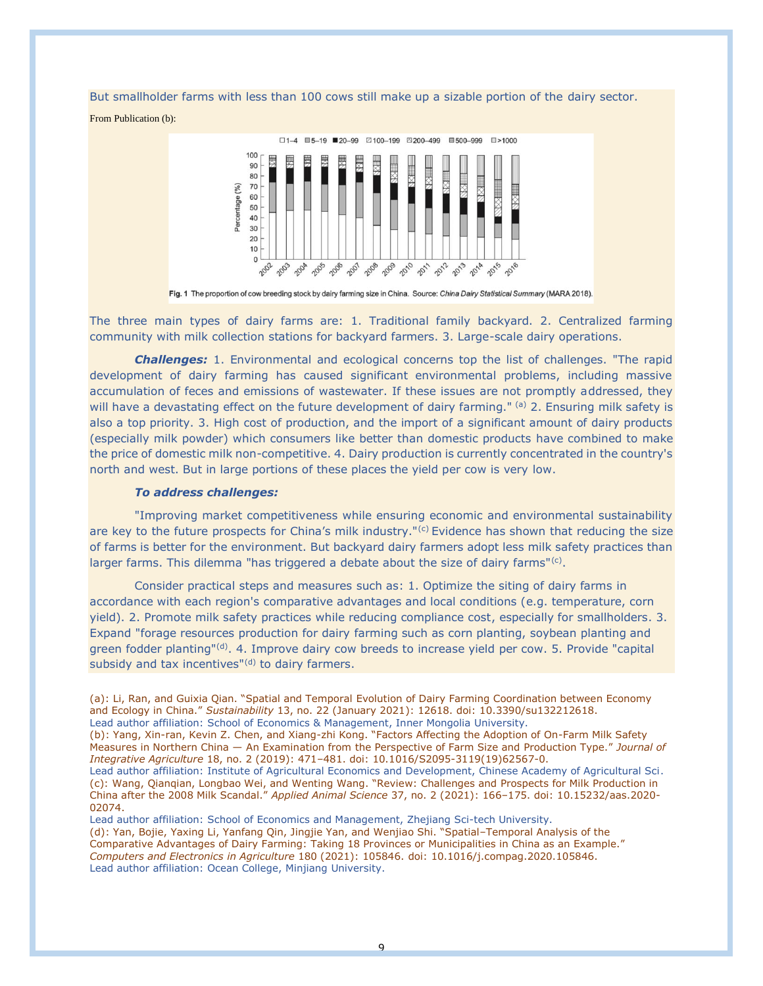But smallholder farms with less than 100 cows still make up a sizable portion of the dairy sector.

From Publication (b):



Fig. 1 The proportion of cow breeding stock by dairy farming size in China. Source: China Dairy Statistical Summary (MARA 2018).

The three main types of dairy farms are: 1. Traditional family backyard. 2. Centralized farming community with milk collection stations for backyard farmers. 3. Large-scale dairy operations.

*Challenges:* 1. Environmental and ecological concerns top the list of challenges. "The rapid development of dairy farming has caused significant environmental problems, including massive accumulation of feces and emissions of wastewater. If these issues are not promptly addressed, they will have a devastating effect on the future development of dairy farming." (a) 2. Ensuring milk safety is also a top priority. 3. High cost of production, and the import of a significant amount of dairy products (especially milk powder) which consumers like better than domestic products have combined to make the price of domestic milk non-competitive. 4. Dairy production is currently concentrated in the country's north and west. But in large portions of these places the yield per cow is very low.

# *To address challenges:*

"Improving market competitiveness while ensuring economic and environmental sustainability are key to the future prospects for China's milk industry."<sup>(c)</sup> Evidence has shown that reducing the size of farms is better for the environment. But backyard dairy farmers adopt less milk safety practices than larger farms. This dilemma "has triggered a debate about the size of dairy farms"<sup>(c)</sup>.

Consider practical steps and measures such as: 1. Optimize the siting of dairy farms in accordance with each region's comparative advantages and local conditions (e.g. temperature, corn yield). 2. Promote milk safety practices while reducing compliance cost, especially for smallholders. 3. Expand "forage resources production for dairy farming such as corn planting, soybean planting and green fodder planting"<sup>(d)</sup>. 4. Improve dairy cow breeds to increase yield per cow. 5. Provide "capital" subsidy and tax incentives"<sup>(d)</sup> to dairy farmers.

Lead author affiliation: School of Economics and Management, Zhejiang Sci-tech University. (d): Yan, Bojie, Yaxing Li, Yanfang Qin, Jingjie Yan, and Wenjiao Shi. "Spatial–Temporal Analysis of the Comparative Advantages of Dairy Farming: Taking 18 Provinces or Municipalities in China as an Example." *Computers and Electronics in Agriculture* 180 (2021): 105846. doi: 10.1016/j.compag.2020.105846. Lead author affiliation: Ocean College, Minjiang University.

<sup>(</sup>a): Li, Ran, and Guixia Qian. "Spatial and Temporal Evolution of Dairy Farming Coordination between Economy and Ecology in China." *Sustainability* 13, no. 22 (January 2021): 12618. doi: 10.3390/su132212618. Lead author affiliation: School of Economics & Management, Inner Mongolia University.

<sup>(</sup>b): Yang, Xin-ran, Kevin Z. Chen, and Xiang-zhi Kong. "Factors Affecting the Adoption of On-Farm Milk Safety Measures in Northern China — An Examination from the Perspective of Farm Size and Production Type." *Journal of Integrative Agriculture* 18, no. 2 (2019): 471–481. doi: 10.1016/S2095-3119(19)62567-0.

Lead author affiliation: Institute of Agricultural Economics and Development, Chinese Academy of Agricultural Sci. (c): Wang, Qianqian, Longbao Wei, and Wenting Wang. "Review: Challenges and Prospects for Milk Production in China after the 2008 Milk Scandal." *Applied Animal Science* 37, no. 2 (2021): 166–175. doi: 10.15232/aas.2020- 02074.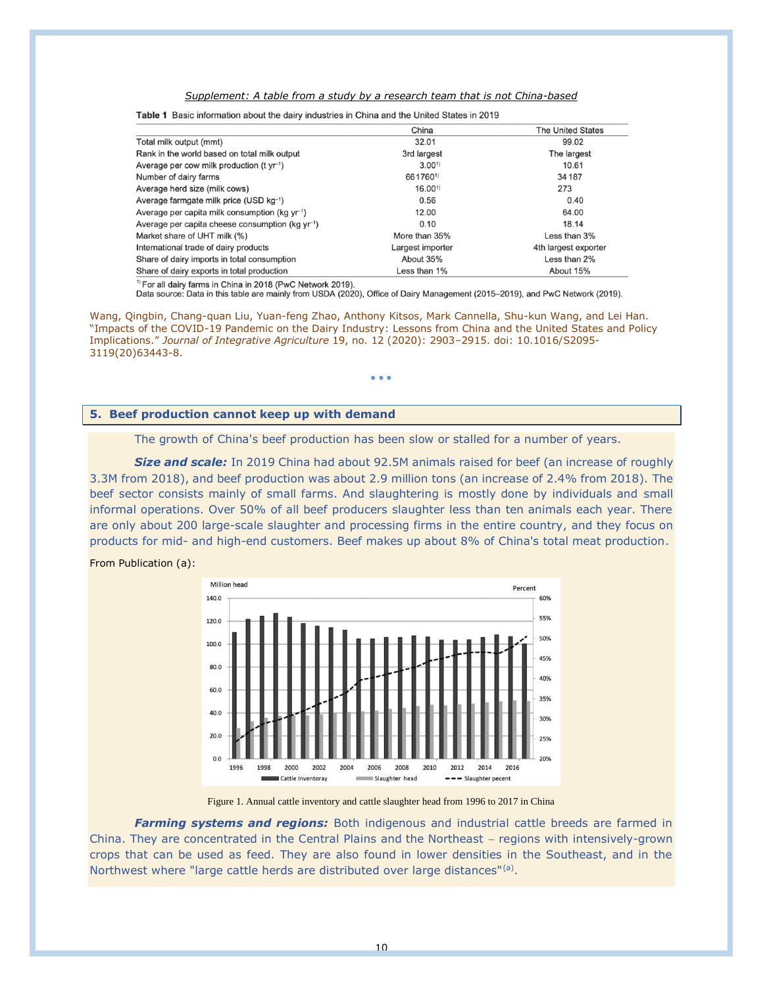### *Supplement: A table from a study by a research team that is not China-based*

| Table 1 Basic information about the dairy industries in China and the United States in 2019 |                  |                          |  |  |  |  |  |  |  |  |
|---------------------------------------------------------------------------------------------|------------------|--------------------------|--|--|--|--|--|--|--|--|
|                                                                                             | China            | <b>The United States</b> |  |  |  |  |  |  |  |  |
| Total milk output (mmt)                                                                     | 32.01            | 99.02                    |  |  |  |  |  |  |  |  |
| Rank in the world based on total milk output                                                | 3rd largest      | The largest              |  |  |  |  |  |  |  |  |
| Average per cow milk production ( $t \, yr^{-1}$ )                                          | $3.00^{1}$       | 10.61                    |  |  |  |  |  |  |  |  |
| Number of dairy farms                                                                       | 6617601)         | 34 187                   |  |  |  |  |  |  |  |  |
| Average herd size (milk cows)                                                               | $16.00^{1}$      | 273                      |  |  |  |  |  |  |  |  |
| Average farmgate milk price (USD kg-1)                                                      | 0.56             | 0.40                     |  |  |  |  |  |  |  |  |
| Average per capita milk consumption ( $kg yr^{-1}$ )                                        | 12.00            | 64.00                    |  |  |  |  |  |  |  |  |
| Average per capita cheese consumption (kg yr <sup>-1</sup> )                                | 0.10             | 18.14                    |  |  |  |  |  |  |  |  |
| Market share of UHT milk (%)                                                                | More than 35%    | Less than 3%             |  |  |  |  |  |  |  |  |
| International trade of dairy products                                                       | Largest importer | 4th largest exporter     |  |  |  |  |  |  |  |  |

and the state of the state of the state of the state of the state of the state of the state of the state of the  $\sim$ 

<sup>1)</sup> For all dairy farms in China in 2018 (PwC Network 2019). Data source: Data in this table are mainly from USDA (2020), Office of Dairy Management (2015–2019), and PwC Network (2019).

About 35%

Less than 1%

Less than 2%

About 15%

Wang, Qingbin, Chang-quan Liu, Yuan-feng Zhao, Anthony Kitsos, Mark Cannella, Shu-kun Wang, and Lei Han. "Impacts of the COVID-19 Pandemic on the Dairy Industry: Lessons from China and the United States and Policy Implications." *Journal of Integrative Agriculture* 19, no. 12 (2020): 2903–2915. doi: 10.1016/S2095- 3119(20)63443-8.

• • •

### **5. Beef production cannot keep up with demand**

Share of dairy imports in total consumption

Share of dairy exports in total production

The growth of China's beef production has been slow or stalled for a number of years.

**Size and scale:** In 2019 China had about 92.5M animals raised for beef (an increase of roughly 3.3M from 2018), and beef production was about 2.9 million tons (an increase of 2.4% from 2018). The beef sector consists mainly of small farms. And slaughtering is mostly done by individuals and small informal operations. Over 50% of all beef producers slaughter less than ten animals each year. There are only about 200 large-scale slaughter and processing firms in the entire country, and they focus on products for mid- and high-end customers. Beef makes up about 8% of China's total meat production.





Figure 1. Annual cattle inventory and cattle slaughter head from 1996 to 2017 in China

*Farming systems and regions:* Both indigenous and industrial cattle breeds are farmed in China. They are concentrated in the Central Plains and the Northeast − regions with intensively-grown crops that can be used as feed. They are also found in lower densities in the Southeast, and in the Northwest where "large cattle herds are distributed over large distances"<sup>(a)</sup>.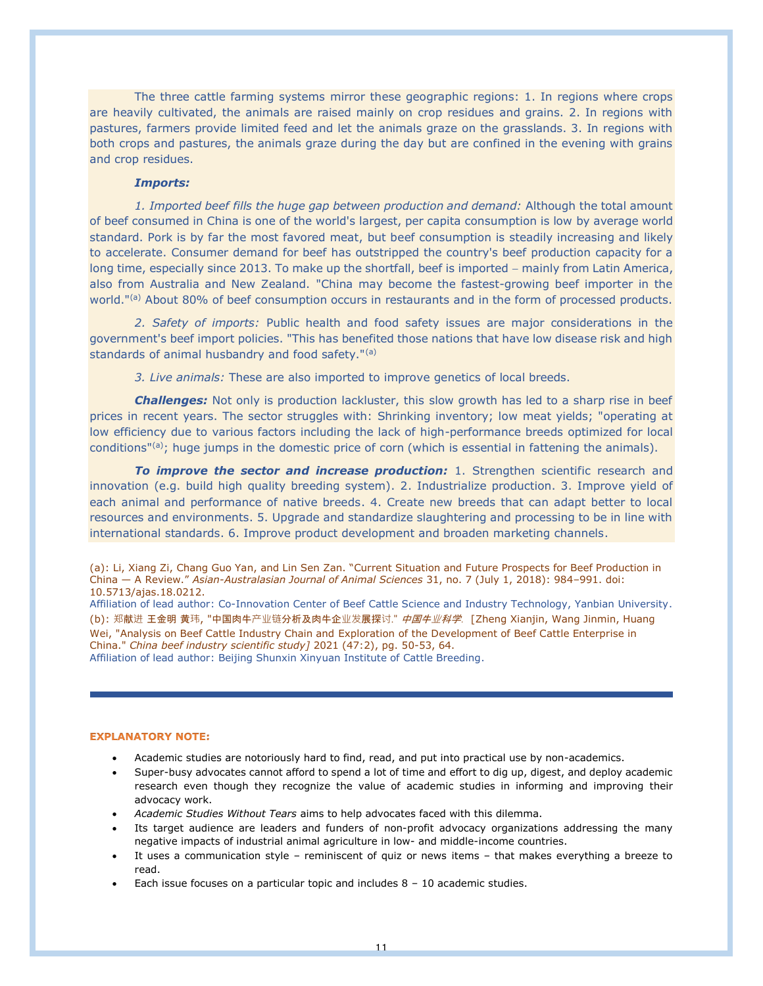The three cattle farming systems mirror these geographic regions: 1. In regions where crops are heavily cultivated, the animals are raised mainly on crop residues and grains. 2. In regions with pastures, farmers provide limited feed and let the animals graze on the grasslands. 3. In regions with both crops and pastures, the animals graze during the day but are confined in the evening with grains and crop residues.

## *Imports:*

*1. Imported beef fills the huge gap between production and demand:* Although the total amount of beef consumed in China is one of the world's largest, per capita consumption is low by average world standard. Pork is by far the most favored meat, but beef consumption is steadily increasing and likely to accelerate. Consumer demand for beef has outstripped the country's beef production capacity for a long time, especially since 2013. To make up the shortfall, beef is imported − mainly from Latin America, also from Australia and New Zealand. "China may become the fastest-growing beef importer in the world."<sup>(a)</sup> About 80% of beef consumption occurs in restaurants and in the form of processed products.

*2. Safety of imports:* Public health and food safety issues are major considerations in the government's beef import policies. "This has benefited those nations that have low disease risk and high standards of animal husbandry and food safety."(a)

*3. Live animals:* These are also imported to improve genetics of local breeds.

*Challenges:* Not only is production lackluster, this slow growth has led to a sharp rise in beef prices in recent years. The sector struggles with: Shrinking inventory; low meat yields; "operating at low efficiency due to various factors including the lack of high-performance breeds optimized for local conditions"(a); huge jumps in the domestic price of corn (which is essential in fattening the animals).

*To improve the sector and increase production:* 1. Strengthen scientific research and innovation (e.g. build high quality breeding system). 2. Industrialize production. 3. Improve yield of each animal and performance of native breeds. 4. Create new breeds that can adapt better to local resources and environments. 5. Upgrade and standardize slaughtering and processing to be in line with international standards. 6. Improve product development and broaden marketing channels.

(a): Li, Xiang Zi, Chang Guo Yan, and Lin Sen Zan. "Current Situation and Future Prospects for Beef Production in China — A Review." *Asian-Australasian Journal of Animal Sciences* 31, no. 7 (July 1, 2018): 984–991. doi: 10.5713/ajas.18.0212.

Affiliation of lead author: Co-Innovation Center of Beef Cattle Science and Industry Technology, Yanbian University. (b): 郑献进 王金明 黄玮, "中国肉牛产业链分析及肉牛企业发展探讨." *中国牛业科学*. [Zheng Xianjin, Wang Jinmin, Huang Wei, "Analysis on Beef Cattle Industry Chain and Exploration of the Development of Beef Cattle Enterprise in China." *China beef industry scientific study]* 2021 (47:2), pg. 50-53, 64. Affiliation of lead author: Beijing Shunxin Xinyuan Institute of Cattle Breeding.

### **EXPLANATORY NOTE:**

- Academic studies are notoriously hard to find, read, and put into practical use by non-academics.
- Super-busy advocates cannot afford to spend a lot of time and effort to dig up, digest, and deploy academic research even though they recognize the value of academic studies in informing and improving their advocacy work.
- *Academic Studies Without Tears* aims to help advocates faced with this dilemma.
- Its target audience are leaders and funders of non-profit advocacy organizations addressing the many negative impacts of industrial animal agriculture in low- and middle-income countries.
- It uses a communication style reminiscent of quiz or news items that makes everything a breeze to read.
- Each issue focuses on a particular topic and includes  $8 10$  academic studies.